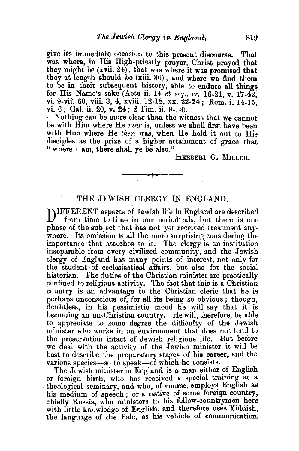give its immediate occasion to this present discourse. That was where, in His High-priestly prayer, Christ prayed that they might be (xvii. 24); that was where it was promised that they at length should be (xiii. 36); and where we find them to be in their subsequent history, able to endure all things for His Name's sake (Acts ii. 14 *et seq.,* iv. 16-21, v. 17-4:2 vi. 9-vii. 60, viii. 3, 4, xviii. 12-18, xx.  $22-24$ ; Rom. i. 14-15. vi.  $6:$  Gal. ii.  $20.$  v.  $24:$  2 Tim. ii.  $9-13$ .

· Nothing can be more clear than the witness that we cannot be with Him where He *now* is, unless we shall first have been with Him where He *then* was, when He held it out to His disciples as the prize of a higher attainment of grace that "where I am, there shall ye be also."

HERBERT G. MILLER.

## THE JEWISH CLERGY IN ENGLAND.

---""'i----

DIFFERENT aspects of Jewish life in England are described from time to time in our periodicals, but there is one phase of the subject that has not yet received treatment anywhere. Its omission is all the more surprising considering the importance that attaches to it. The clergy is an institution inseparable from every civilized community, and the Jewish clergy of England has many points of interest, not only for the student of ecclesiastical affairs, but also for the social historian. The duties of the Christian minister are practically confined to religious activity. The fact that this is a Christian country is an advantage to the Christian cleric that be is perhaps unconscious of, for all its being so obvious ; though, doubtless, in his pessimistic mood he will say that it is becoming an un-Christian country. He will, therefore, be able to appreciate to some degree the difficulty of the Jewish minister who works in an environment that does not tend to the preservation intact of Jewish religious life. But before we deal with the activity of the Jewish minister it will be best to describe the preparatory stages of his career, and the various species-so to speak-of which he consists.

The Jewish minister in England is a man either of English or foreign birth, who has received a special training at a theological seminary, and who, of course, employs English as his medium of speech; or a native of some foreign country, chiefly Russia, who ministers to his fellow-countrymen here with little knowledge of English, and therefore uses Yiddish. the language of the Pale, as his vehicle of communication.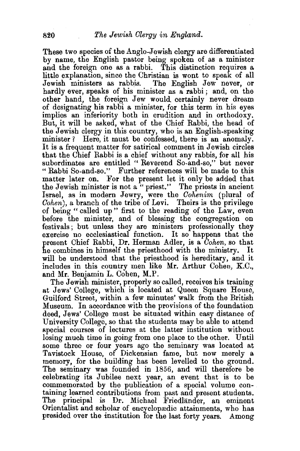These two species of the Anglo-Jewish clergy are differentiated by name, the English pastor being spoken of as a minister and the foreign one as a rabbi. 'fhis distinction requires a little explanation, since the Christian is wont to speak of all The English Jew never, or hardly ever, speaks of his minister as a rabbi; and, on the other hand, the foreign Jew would, certainly never dream of designating his rabbi a minister, for this term in his eyes implies an inferiority both in erudition and in orthodoxy. But, it will be asked, what of the Chief Rabbi, the head of the Jewish clergy in this country, who is an English-speaking minister? Here, it must be confessed, there is an anomaly. It is a frequent matter for satirical comment in Jewish circles that the Chief Rabbi is a chief without any rabbis, for all his subordinates are entitled " Reverend So-and-so," but never "Rabbi So-and-so." Further references will be made to this matter later on. For the present let it only be added that the Jewish minister is not a " priest." The priests in ancient Israel, as in modern Jewry, were the *Cohenim* (plural of *Cohen),* a branch of the tribe of Levi. Theirs is the privilege of being "called up" first to the reading of the Law, even before the minister, and of blessing the congregation on festivals: but unless they are ministers professionally they exercise no ecclesiastical function. It so happens that the present Chief Rabbi, Dr. Herman Adler, is a *Cohen,* so that he combines in himself the priesthood with the ministry. It will be understood that the priesthood is hereditary, and it includes in this country men like Mr. Arthur Cohen, K.C., and Mr. Benjamin L. Cohen, M.P.

The Jewish minister, properly so called, receives his training at Jews' College, which is located at Queen Square House, Guilford Street, within a few minutes' walk from the British Museum. In accordance with the provisions of the foundation deed, Jews' College must be situated within easy distance of University College, so that the students may be able to attend special courses of lectures at the latter institution without losing much time in going from one place to the other. Until some three or four years ago the seminary was located at Tavistock House, of Dickensian fame, but now merely a memory, for the building has been levelled to the ground. The seminary was founded in 1856, and will therefore be celebrating its Jubilee next year, an event that is to be commemorated by the publication of a special volume containing learned contributions from past and present students. The principal is Dr. Michael Friedländer, an eminent Orientalist and scholar of encyclopredic attainments, who has presided over the institution for the last forty years. Among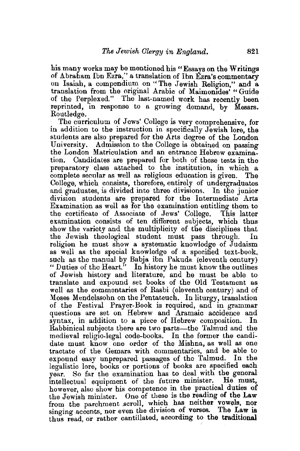his many works may be mentioned his "Essays on the Writings of Abraham Ibn Ezra,'' a translation of Ibn Ezra's commentary on Isaiah, a compendium on "The Jewish Religion," and a translation from the original Arabic of Maimonides' "Guide of the Perplexed." The last-named work has recently been reprinted, in response to a growing demand, by Messrs. Routledge.

The curriculum of Jews' College is very comprehensive, for in addition to the instruction in specifically Jewish lore, the students are also prepared for the Arts degree of the London University. Admission to the College is obtained on passing the London Matriculation and an entrance Hebrew examina-Candidates are prepared for both of these tests in the preparatory class attached to the institution, in which a complete secular as well as religious education is given. The College, which consists, therefore, entirely of undergraduates and graduates, is divided into three divisions. In the junior division students are prepared for the Intermediate Arts  $Examination$  as well as for the examination entitling them to the certificate of Associate of Jews' College. This latter examination consists of ten different subjects, which thus show the variety and the multiplicity of the disciplines that the Jewish theological student must pass through. religion he must show a systematic knowledge of Judaism as well as the special knowledge of a specified text-book, such as the manual by Babja ibn Pakuda (eleventh century) "Duties of the Heart." In history he must know the outlines of Jewish history and literature, and he must be able to translate and expound set books of the Old Testament as well as the commentaries of Rasbi (eleventh century) and of Moses Mendelssohn on the Pentateuch. In liturgy, translation of the Festival Prayer-Book is required, and in grammar questions are set on Hebrew and Aramaic accidence and syntax, in addition to a piece of Hebrew composition. In Rabbinical subjects there are two parts—the Talmud and the medieval religio-legal code-books. In the former the candidate must know one order of the Mishna, as well as one tractate of the Gemara with commentaries, and be able to expound easy unprepared passages of the Talmud. In the legalistic lore, books or portions of books are specified each year. So far the examination has to deal with the general<br>intellectual equipment of the future minister. He must. intellectual equipment of the future minister. however, also show his competence in the practical duties of the Jewish minister. One of these is the reading of the Law from the parchment scroll, which has neither vowels, nor singing accents, nor even the division of verses. The Law is thus read, or rather cantillated, according to the traditional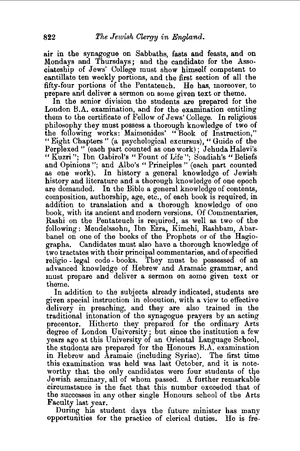air in the synagogue on Sabbaths, fasts and feasts, and on Mondays and Thursdays; and the candidate for the Associateship of Jews' College must show himself competent to cantillate ten weekly portions, and the first section of all the fifty-four portions of the Pentateuch. He has, moreover, to prepare and deliver a sermon on some given text or theme.

In the senior division the students are prepared for the London B.A. examination, and for the examination entitling them to the certificate of Fellow of Jews' College. In religious philosophy they must possess a thorough knowledge of two of the following works: Maimonides' "Book of Instruction," "Eight Chapters" (a psychological excursus)," Guide of the Perplexed" (each part counted as one work); Jehuda Halevi's "Kuzri"; Ibn Gabirol's "Fount of Life"; Soadiah's "Beliefs and Opinions"; and Albo's "Principles" (each part counted as one work). In history a general knowledge of Jewish history and literature and a thorough knowledge of one epoch are demanded. In the Bible a general knowledge of contents, composition, authorship, age, etc., of each book is required, in addition to translation and a thorough knowledge of one book, with its ancient and modern versions. Of Commentaries, Rashi on the Pentateuch is required, as well as two of the following : Mendelssohn, Ibn Ezra, Kimchi, Rashbam, Abarbanel on one of the books of the Prophets or of the Hagiographa. Candidates must also have a thorough knowledge of two tractates with their principal commentaries, and of specified religio - legal code- books. They must be possessed of an advanced knowledge of Hebrew and Aramaic grammar, and must prepare and deliver a sermon on some given text or theme.

In addition to the subjects already indicated, students are given special instruction in elocution, with a view to effective delivery in preaching, and they are also trained in the traditional intonation of the synagogue prayers by an acting precentor. Hitherto they prepared for the ordinary Arts degree of London University; but since the institution a few years ago at this University of an Oriental Language School, the students are prepared for the Honours B.A. examination in Hebrew and Aramaic (including Syriac). The first time this examination was held was last October, and it is noteworthy that the only candidates were four students of the Jewish seminary, all of whom passed. A further remarkable ·circumstance is the fact that this number exceeded that of the successes in any other single Honours school of the Arts Faculty last year.

During his student days the future minister has many opportunities for the practice of clerical duties. He is fre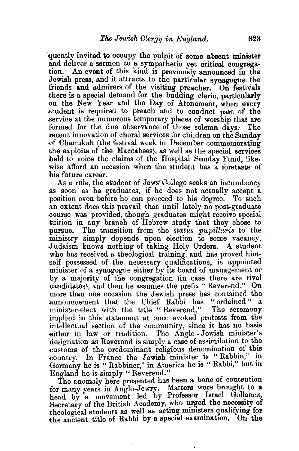quently invited to occupy the pulpit of some absent minister and deliver a sermon to a sympathetic yet critical congregation. An event of this kind is previously announced in the Jewish press, and it attracts to the particular synagogue the friends and admirers of the visiting preacher. On festivals there is a special demand for the budding cleric, particularly on the New Year and the Day of Atonement, when every atudent is required to preach and to conduct part of the service at the numerous temporary places of worship that are formed for the due observance of those solemn days. The recent innovation of choral services for children on the Sunday -of Chanukah (the festival week in December commemorating the exploits of the Maccabees), as well as the special services held to voice the claims of the Hospital Sunday Fund, likewise afford an occasion when the student has a foretaste of his future career.

As a rule, the student of Jews' College seeks an incumbency .as soon as he graduates, if he does not actually accept a position even before he can proceed to his degree. To such .an extent does this prevail that until lately no post-graduate .course was provided, though graduates might receive special tuition in any branch of Hebrew study that they chose to pursue. The transition from the *status pupillaris* to the Judaism knows nothing of taking Holy Orders. A student who has received a theological training, and has proved him- .self possessed of the necessary qualifications, is appointed minister of a synagogue either by Its board of management or by a majority of the congregation (in case there are rival candidates), and then he assumes the prefix "Reverend." On more than one occasion the Jewish press has contained the announcement that the Chief Rabbi has "ordained" a minister-elect with the title "Reverend." The ceremony implied in this statement at once evoked protests from the intellectual section of the community, since it has no basis -either in law or tradition. The Anglo- Jewish minister's designation as Reverend is simply a case of assimilation to the customs of the predominant religious denomination of this country. In France the Jewish minister is "Rabbin," in Germany he is "Rabbiner," in America he is "Rabbi," but in

England he is simply " Reverend." . The anomaly here presented has been a bone of contention for many years in Anglo-Jewry. Matters were brought to a head by a movement led by Professor Israel Gollancz, Secretary of the British Academy, who urged the necessity of theological students as well as acting ministers qualifying for the ancient title of Rabbi by a special examination. On the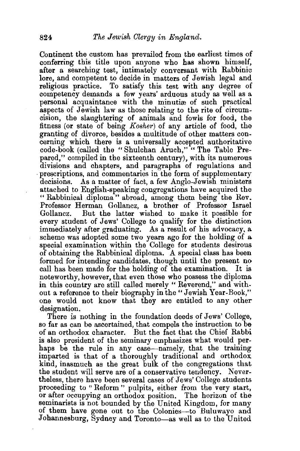Continent the custom has prevailed from the earliest times of conferring this title upon anyone who has shown himself, after a searching test, intimately conversant with Rabbinic lore, and competent to decide in matters of Jewish legal and religious practice. To satisfy this test with any degree of competency demands a few years' arduous study as well as a personal acquaintance with the minutiæ of such practical aspects of Jewish law as those relating to the rite of circumcision, the slaughtering of animals and fowls for food, the fitness (or state of being *Kosher)* of any article of food, the granting of divorce, besides a multitude of other matters concerning which there is a universally accepted authoritative code-book (called the "Shulchan Aruch," "The Table Prepared," compiled in the sixteenth century), with its numerous divisions and chapters, and paragraphs of regulations and prescriptions, and commentaries in the form of supplementary decisions. As a matter of fact, a few Anglo-Jewish ministers attached to English-speaking congregations have acquired the " Rabbinical diploma" abroad, among them being the Rev. Professor Herman Gollancz, a brother of Professor Israel Gollancz. But the latter wished to make it possible for every student of Jews' College to qualify for the distinction immediately after graduating. As a result of his advocacy, a scheme was adopted some two years ago for the holding of a special examination within the College for students desirous of obtaining the Rabbinical diploma. A special class has been formed for intending candidates, though until the present no call has been made for the holding of the examination. It is noteworthy, however, that even those who possess the diploma in this country are still called merely "Reverend," and without a reference to their biography in the "Jewish Year-Book," one would not know that they are entitled to any other designation.

There is nothing in the foundation deeds of Jews' College, so far as can be ascertained, that compels the instruction to be of an orthodox character. But the fact that the Chief Rabbi is also president of the seminary emphasizes what would perhaps be the rule in any case-namely, that the training imparted is that of a thoroughly traditional and orthodox kind, inasmuch as the great bulk of the congregations that the student will serve are of a conservative tendency. Nevertheless, there have been several cases of Jews' College students proceeding to " Reform " pulpits, either from the very start, or after occupying an orthodox position. The horizon of the seminarists is not bounded by the United Kingdom, for many of them have gone out to the Colonies-to Buluwayo and Johannesburg, Sydney and Toronto-as well as to the United